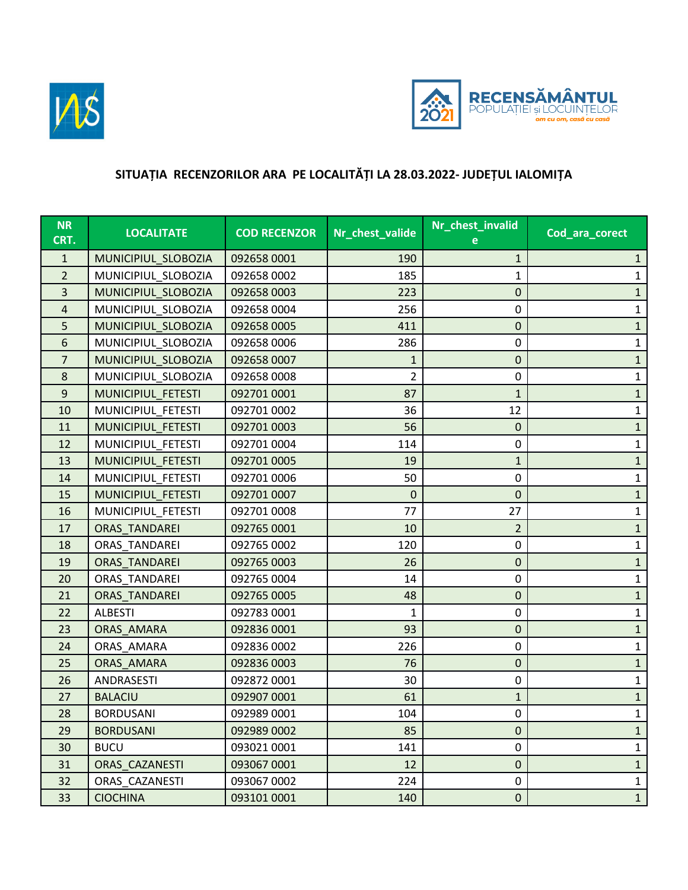



## **SITUAȚIA RECENZORILOR ARA PE LOCALITĂȚI LA 28.03.2022- JUDEȚUL IALOMIȚA**

| <b>NR</b><br>CRT. | <b>LOCALITATE</b>    | <b>COD RECENZOR</b> | Nr_chest_valide | Nr_chest_invalid | Cod_ara_corect |
|-------------------|----------------------|---------------------|-----------------|------------------|----------------|
| $\mathbf{1}$      | MUNICIPIUL_SLOBOZIA  | 092658 0001         | 190             | 1                | $\mathbf{1}$   |
| $\overline{2}$    | MUNICIPIUL SLOBOZIA  | 092658 0002         | 185             | 1                | $\mathbf{1}$   |
| 3                 | MUNICIPIUL_SLOBOZIA  | 092658 0003         | 223             | $\pmb{0}$        | $\mathbf{1}$   |
| 4                 | MUNICIPIUL_SLOBOZIA  | 092658 0004         | 256             | 0                | $\mathbf{1}$   |
| 5                 | MUNICIPIUL_SLOBOZIA  | 092658 0005         | 411             | 0                | $\mathbf{1}$   |
| 6                 | MUNICIPIUL SLOBOZIA  | 092658 0006         | 286             | $\mathbf 0$      | $\mathbf{1}$   |
| $\overline{7}$    | MUNICIPIUL SLOBOZIA  | 092658 0007         | 1               | $\pmb{0}$        | $\mathbf{1}$   |
| 8                 | MUNICIPIUL_SLOBOZIA  | 092658 0008         | $\overline{2}$  | 0                | $\mathbf{1}$   |
| $9\,$             | MUNICIPIUL FETESTI   | 092701 0001         | 87              | 1                | $\mathbf{1}$   |
| 10                | MUNICIPIUL FETESTI   | 092701 0002         | 36              | 12               | $\mathbf{1}$   |
| 11                | MUNICIPIUL_FETESTI   | 092701 0003         | 56              | $\mathbf 0$      | $\mathbf{1}$   |
| 12                | MUNICIPIUL FETESTI   | 092701 0004         | 114             | $\mathbf 0$      | $\mathbf{1}$   |
| 13                | MUNICIPIUL FETESTI   | 092701 0005         | 19              | 1                | $\mathbf{1}$   |
| 14                | MUNICIPIUL FETESTI   | 092701 0006         | 50              | $\mathbf 0$      | $\mathbf{1}$   |
| 15                | MUNICIPIUL_FETESTI   | 092701 0007         | $\mathbf 0$     | $\mathbf 0$      | $\mathbf{1}$   |
| 16                | MUNICIPIUL_FETESTI   | 092701 0008         | 77              | 27               | $\mathbf{1}$   |
| 17                | <b>ORAS TANDAREI</b> | 092765 0001         | 10              | $\overline{2}$   | $\mathbf{1}$   |
| 18                | ORAS TANDAREI        | 092765 0002         | 120             | $\mathbf 0$      | $\mathbf{1}$   |
| 19                | <b>ORAS TANDAREI</b> | 092765 0003         | 26              | $\pmb{0}$        | $\mathbf{1}$   |
| 20                | ORAS TANDAREI        | 092765 0004         | 14              | $\mathbf 0$      | $\mathbf{1}$   |
| 21                | <b>ORAS TANDAREI</b> | 092765 0005         | 48              | $\pmb{0}$        | $\mathbf{1}$   |
| 22                | <b>ALBESTI</b>       | 092783 0001         | 1               | $\mathbf 0$      | $\mathbf{1}$   |
| 23                | ORAS_AMARA           | 092836 0001         | 93              | $\pmb{0}$        | $\mathbf{1}$   |
| 24                | ORAS_AMARA           | 092836 0002         | 226             | $\mathbf 0$      | $\mathbf{1}$   |
| 25                | ORAS_AMARA           | 092836 0003         | 76              | $\pmb{0}$        | $\mathbf{1}$   |
| 26                | ANDRASESTI           | 092872 0001         | 30              | $\mathbf 0$      | $\mathbf{1}$   |
| 27                | <b>BALACIU</b>       | 092907 0001         | 61              | 1                | $\mathbf{1}$   |
| 28                | <b>BORDUSANI</b>     | 092989 0001         | 104             | 0                | $\mathbf{1}$   |
| 29                | <b>BORDUSANI</b>     | 092989 0002         | 85              | $\pmb{0}$        | $\mathbf{1}$   |
| 30                | <b>BUCU</b>          | 093021 0001         | 141             | $\mathbf 0$      | $\mathbf{1}$   |
| 31                | ORAS CAZANESTI       | 093067 0001         | 12              | $\pmb{0}$        | $\mathbf{1}$   |
| 32                | ORAS_CAZANESTI       | 093067 0002         | 224             | 0                | $\mathbf{1}$   |
| 33                | <b>CIOCHINA</b>      | 093101 0001         | 140             | $\pmb{0}$        | $\mathbf{1}$   |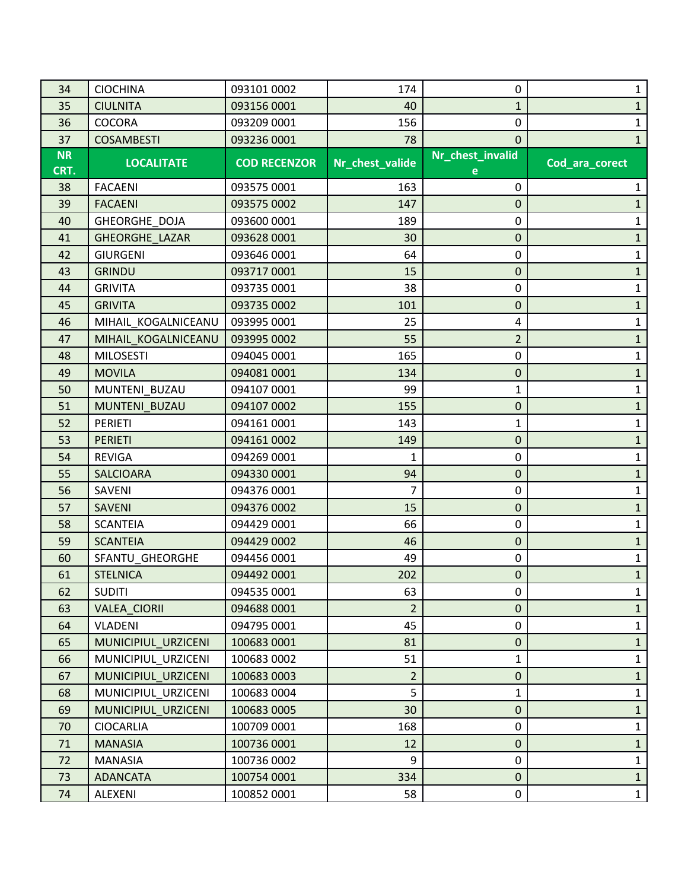| 34        | <b>CIOCHINA</b>     | 093101 0002         | 174             | 0                | 1              |
|-----------|---------------------|---------------------|-----------------|------------------|----------------|
| 35        | <b>CIULNITA</b>     | 093156 0001         | 40              | $\mathbf{1}$     | 1              |
| 36        | <b>COCORA</b>       | 093209 0001         | 156             | 0                | 1              |
| 37        | <b>COSAMBESTI</b>   | 093236 0001         | 78              | $\mathbf 0$      | $\mathbf{1}$   |
| <b>NR</b> | <b>LOCALITATE</b>   | <b>COD RECENZOR</b> | Nr_chest_valide | Nr_chest_invalid | Cod_ara_corect |
| CRT.      |                     |                     |                 |                  |                |
| 38        | <b>FACAENI</b>      | 093575 0001         | 163             | 0                | 1              |
| 39        | <b>FACAENI</b>      | 093575 0002         | 147             | $\mathbf 0$      | $\mathbf{1}$   |
| 40        | GHEORGHE DOJA       | 093600 0001         | 189             | 0                | 1              |
| 41        | GHEORGHE_LAZAR      | 093628 0001         | 30              | $\mathbf 0$      | $\mathbf{1}$   |
| 42        | <b>GIURGENI</b>     | 093646 0001         | 64              | 0                | $\mathbf{1}$   |
| 43        | <b>GRINDU</b>       | 093717 0001         | 15              | $\mathbf 0$      | $\mathbf{1}$   |
| 44        | <b>GRIVITA</b>      | 093735 0001         | 38              | 0                | 1              |
| 45        | <b>GRIVITA</b>      | 093735 0002         | 101             | $\mathbf 0$      | $\mathbf{1}$   |
| 46        | MIHAIL_KOGALNICEANU | 093995 0001         | 25              | 4                | $\mathbf{1}$   |
| 47        | MIHAIL KOGALNICEANU | 093995 0002         | 55              | $\overline{2}$   | $\mathbf{1}$   |
| 48        | <b>MILOSESTI</b>    | 094045 0001         | 165             | 0                | $\mathbf{1}$   |
| 49        | <b>MOVILA</b>       | 094081 0001         | 134             | $\mathbf 0$      | $\mathbf{1}$   |
| 50        | MUNTENI BUZAU       | 094107 0001         | 99              | 1                | $\mathbf{1}$   |
| 51        | MUNTENI BUZAU       | 094107 0002         | 155             | $\mathbf 0$      | $\mathbf{1}$   |
| 52        | <b>PERIETI</b>      | 094161 0001         | 143             | 1                | $\mathbf{1}$   |
| 53        | <b>PERIETI</b>      | 094161 0002         | 149             | $\mathbf 0$      | $\mathbf{1}$   |
| 54        | <b>REVIGA</b>       | 094269 0001         | 1               | 0                | $\mathbf{1}$   |
| 55        | <b>SALCIOARA</b>    | 094330 0001         | 94              | $\mathbf 0$      | $\mathbf{1}$   |
| 56        | SAVENI              | 094376 0001         | 7               | 0                | $\mathbf{1}$   |
| 57        | <b>SAVENI</b>       | 094376 0002         | 15              | $\mathbf 0$      | $\mathbf{1}$   |
| 58        | <b>SCANTEIA</b>     | 094429 0001         | 66              | 0                | $\mathbf{1}$   |
| 59        | <b>SCANTEIA</b>     | 094429 0002         | 46              | $\mathbf 0$      | $\mathbf{1}$   |
| 60        | SFANTU_GHEORGHE     | 094456 0001         | 49              | 0                | $\mathbf{1}$   |
| 61        | <b>STELNICA</b>     | 094492 0001         | 202             | $\mathbf 0$      | $\mathbf{1}$   |
| 62        | <b>SUDITI</b>       | 094535 0001         | 63              | 0                | $\mathbf{1}$   |
| 63        | VALEA_CIORII        | 094688 0001         | $\overline{2}$  | $\mathbf{0}$     | $\mathbf{1}$   |
| 64        | VLADENI             | 094795 0001         | 45              | 0                | $\mathbf 1$    |
| 65        | MUNICIPIUL URZICENI | 100683 0001         | 81              | $\mathbf{0}$     | $\mathbf{1}$   |
| 66        | MUNICIPIUL URZICENI | 100683 0002         | 51              | $\mathbf{1}$     | $\mathbf{1}$   |
| 67        | MUNICIPIUL_URZICENI | 100683 0003         | $\overline{2}$  | $\mathbf{0}$     | $\mathbf{1}$   |
| 68        | MUNICIPIUL URZICENI | 100683 0004         | 5               | $\mathbf{1}$     | $\mathbf{1}$   |
| 69        | MUNICIPIUL URZICENI | 100683 0005         | 30              | $\mathbf{0}$     | $\mathbf{1}$   |
| 70        | <b>CIOCARLIA</b>    | 100709 0001         | 168             | 0                | $\mathbf{1}$   |
| 71        | <b>MANASIA</b>      | 100736 0001         | 12              | $\mathbf{0}$     | $\mathbf{1}$   |
| 72        | MANASIA             | 100736 0002         | 9               | 0                | $\mathbf 1$    |
| 73        | <b>ADANCATA</b>     | 100754 0001         | 334             | $\mathbf{0}$     | $\mathbf{1}$   |
| 74        | ALEXENI             | 100852 0001         | 58              | 0                | $\mathbf{1}$   |